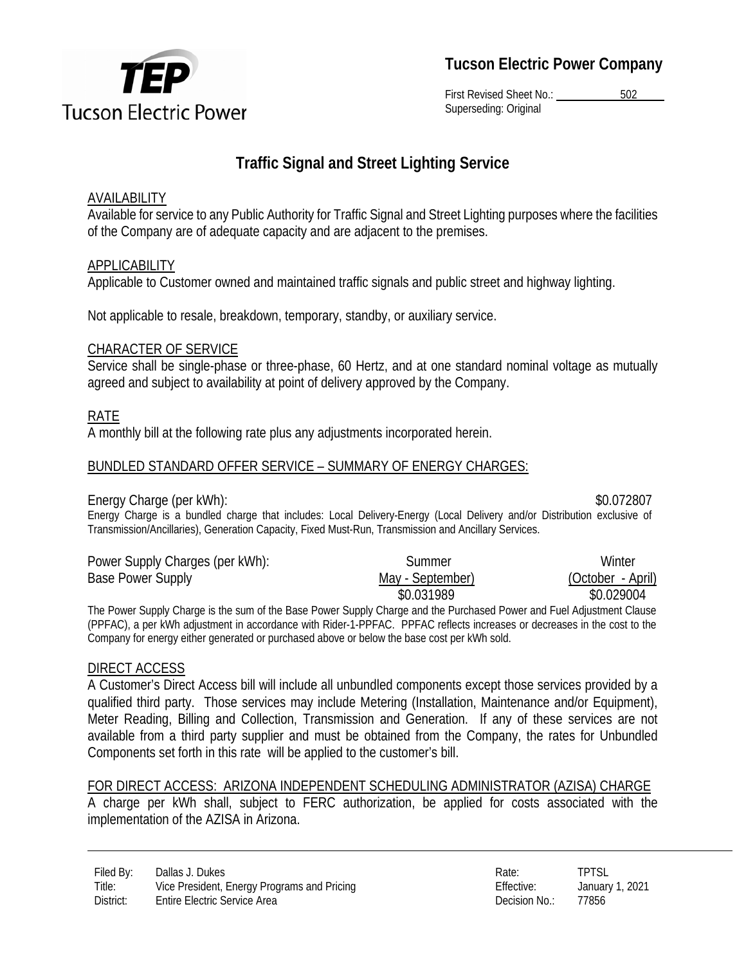

**Tucson Electric Power Company** 

First Revised Sheet No.: 502 Superseding: Original

# **Traffic Signal and Street Lighting Service**

## **AVAILABILITY**

Available for service to any Public Authority for Traffic Signal and Street Lighting purposes where the facilities of the Company are of adequate capacity and are adjacent to the premises.

## APPLICABILITY

Applicable to Customer owned and maintained traffic signals and public street and highway lighting.

Not applicable to resale, breakdown, temporary, standby, or auxiliary service.

## CHARACTER OF SERVICE

Service shall be single-phase or three-phase, 60 Hertz, and at one standard nominal voltage as mutually agreed and subject to availability at point of delivery approved by the Company.

## RATE

A monthly bill at the following rate plus any adjustments incorporated herein.

# BUNDLED STANDARD OFFER SERVICE – SUMMARY OF ENERGY CHARGES:

#### Energy Charge (per kWh):  $$0.072807$

Energy Charge is a bundled charge that includes: Local Delivery-Energy (Local Delivery and/or Distribution exclusive of Transmission/Ancillaries), Generation Capacity, Fixed Must-Run, Transmission and Ancillary Services.

| Power Supply Charges (per kWh): | Summer           | Winter            |
|---------------------------------|------------------|-------------------|
| <b>Base Power Supply</b>        | May - September) | (October - April) |
|                                 | \$0.031989       | \$0.029004        |

The Power Supply Charge is the sum of the Base Power Supply Charge and the Purchased Power and Fuel Adjustment Clause (PPFAC), a per kWh adjustment in accordance with Rider-1-PPFAC. PPFAC reflects increases or decreases in the cost to the Company for energy either generated or purchased above or below the base cost per kWh sold.

# DIRECT ACCESS

A Customer's Direct Access bill will include all unbundled components except those services provided by a qualified third party. Those services may include Metering (Installation, Maintenance and/or Equipment), Meter Reading, Billing and Collection, Transmission and Generation. If any of these services are not available from a third party supplier and must be obtained from the Company, the rates for Unbundled Components set forth in this rate will be applied to the customer's bill.

FOR DIRECT ACCESS: ARIZONA INDEPENDENT SCHEDULING ADMINISTRATOR (AZISA) CHARGE A charge per kWh shall, subject to FERC authorization, be applied for costs associated with the implementation of the AZISA in Arizona.